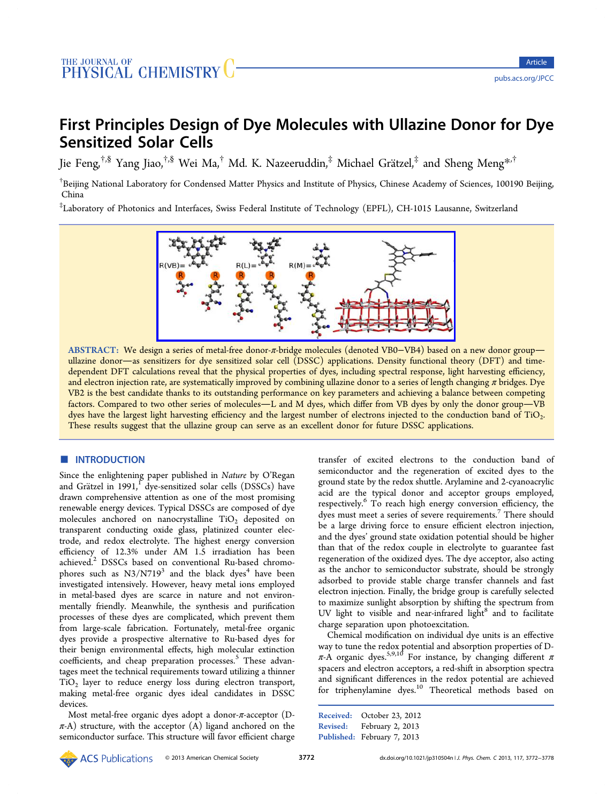# First Principles Design of Dye Molecules with Ullazine Donor for Dye Sensitized Solar Cells

Jie Feng,<sup>†,§</sup> Yang Jiao,<sup>†,§</sup> Wei Ma,<sup>†</sup> Md. K. Nazeeruddin,<sup>‡</sup> Michael Grätzel,<sup>‡</sup> and Sheng Meng<sup>\*,†</sup>

<sup>†</sup>Beijing Nat[io](#page-5-0)nal Laboratory [fo](#page-5-0)r Condensed Matter Physics and Institute of Physics, Chinese Academy of Sciences, 1[001](#page-5-0)90 Beijing, China

‡ Laboratory of Photonics and Interfaces, Swiss Federal Institute of Technology (EPFL), CH-1015 Lausanne, Switzerland



ABSTRACT: We design a series of metal-free donor-π-bridge molecules (denoted VB0−VB4) based on a new donor group ullazine donor-as sen[sitizers for dye sensitized solar cell \(DSSC\) applications. Density functional t](http://pubs.acs.org/action/showImage?doi=10.1021/jp310504n&iName=master.img-000.jpg&w=299&h=107)heory (DFT) and timedependent DFT calculations reveal that the physical properties of dyes, including spectral response, light harvesting efficiency, and electron injection rate, are systematically improved by combining ullazine donor to a series of length changing π bridges. Dye VB2 is the best candidate thanks to its outstanding performance on key parameters and achieving a balance between competing factors. Compared to two other series of molecules—L and M dyes, which differ from VB dyes by only the donor group—VB dyes have the largest light harvesting efficiency and the largest number of electrons injected to the conduction band of TiO<sub>2</sub>. These results suggest that the ullazine group can serve as an excellent donor for future DSSC applications.

## ■ **INTRODUCTION**

Since the enlightening paper published in Nature by O'Regan and Grätzel in  $1991$ ,  $\frac{1}{1}$  dye-sensitized solar cells (DSSCs) have drawn comprehensive attention as one of the most promising renewable energy de[vi](#page-5-0)ces. Typical DSSCs are composed of dye molecules anchored on nanocrystalline  $TiO<sub>2</sub>$  deposited on transparent conducting oxide glass, platinized counter electrode, and redox electrolyte. The highest energy conversion efficiency of 12.3% under AM 1.5 irradiation has been achieved.<sup>2</sup> DSSCs based on conventional Ru-based chromophores such as  $N3/N719<sup>3</sup>$  and the black dyes<sup>4</sup> have been investiga[te](#page-5-0)d intensively. However, heavy metal ions employed in metal-based dyes are [sc](#page-6-0)arce in nature and [n](#page-6-0)ot environmentally friendly. Meanwhile, the synthesis and purification processes of these dyes are complicated, which prevent them from large-scale fabrication. Fortunately, metal-free organic dyes provide a prospective alternative to Ru-based dyes for their benign environmental effects, high molecular extinction coefficients, and cheap preparation processes.<sup>5</sup> These advantages meet the technical requirements toward utilizing a thinner TiO2 layer to reduce energy loss during ele[c](#page-6-0)tron transport, making metal-free organic dyes ideal candidates in DSSC devices.

Most metal-free organic dyes adopt a donor-π-acceptor (D- $\pi$ -A) structure, with the acceptor (A) ligand anchored on the semiconductor surface. This structure will favor efficient charge transfer of excited electrons to the conduction band of semiconductor and the regeneration of excited dyes to the ground state by the redox shuttle. Arylamine and 2-cyanoacrylic acid are the typical donor and acceptor groups employed, respectively.<sup>6</sup> To reach high energy conversion efficiency, the dyes must meet a series of severe requirements.<sup>7</sup> There should be a large [dr](#page-6-0)iving force to ensure efficient electron injection, and the dyes' ground state oxidation potential s[ho](#page-6-0)uld be higher than that of the redox couple in electrolyte to guarantee fast regeneration of the oxidized dyes. The dye acceptor, also acting as the anchor to semiconductor substrate, should be strongly adsorbed to provide stable charge transfer channels and fast electron injection. Finally, the bridge group is carefully selected to maximize sunlight absorption by shifting the spectrum from UV light to visible and near-infrared light $8$  and to facilitate charge separation upon photoexcitation.

Chemical modification on individual dye [un](#page-6-0)its is an effective way to tune the redox potential and absorption properties of Dπ-A organic dyes.<sup>5,9,10</sup> For instance, by changing different π spacers and electron acceptors, a red-shift in absorption spectra and significant diff[eren](#page-6-0)ces in the redox potential are achieved for triphenylamine dyes.<sup>10</sup> Theoretical methods based on

Received: October 23, 20[12](#page-6-0) Revised: February 2, 2013 Published: February 7, 2013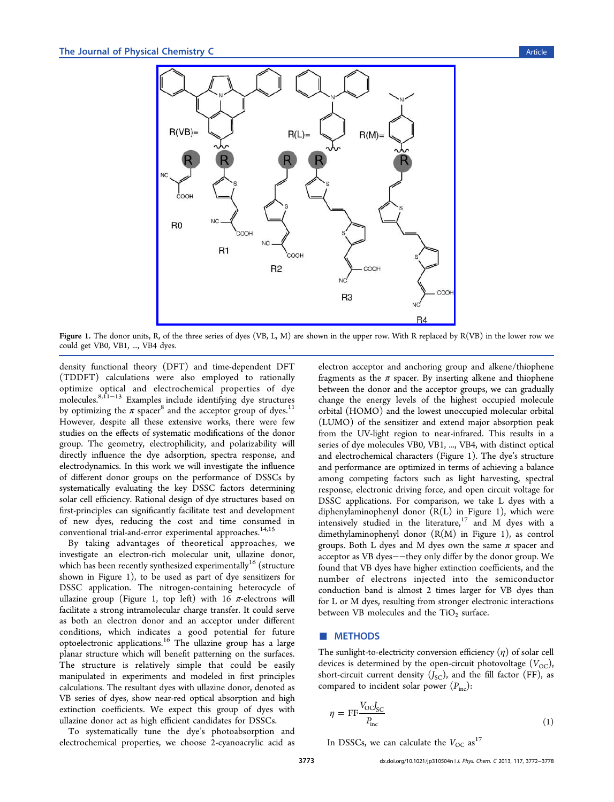<span id="page-1-0"></span>

Figure 1. The donor units, R[, of the three series of dyes \(VB, L, M\) are shown in the upper row. With R replaced b](http://pubs.acs.org/action/showImage?doi=10.1021/jp310504n&iName=master.img-001.jpg&w=299&h=260)y R(VB) in the lower row we could get VB0, VB1, ..., VB4 dyes.

density functional theory (DFT) and time-dependent DFT (TDDFT) calculations were also employed to rationally optimize optical and electrochemical properties of dye molecules.8,11−<sup>13</sup> Examples include identifying dye structures by optimizing the  $\pi$  spacer<sup>8</sup> and the acceptor group of dyes.<sup>11</sup> However, [despit](#page-6-0)e all these extensive works, there were few studies on the effects of sy[st](#page-6-0)ematic modifications of the don[or](#page-6-0) group. The geometry, electrophilicity, and polarizability will directly influence the dye adsorption, spectra response, and electrodynamics. In this work we will investigate the influence of different donor groups on the performance of DSSCs by systematically evaluating the key DSSC factors determining solar cell efficiency. Rational design of dye structures based on first-principles can significantly facilitate test and development of new dyes, reducing the cost and time consumed in conventional trial-and-error experimental approaches.<sup>14,15</sup>

By taking advantages of theoretical approaches, we investigate an electron-rich molecular unit, ullazi[ne d](#page-6-0)onor, which has been recently synthesized experimentally<sup>16</sup> (structure shown in Figure 1), to be used as part of dye sensitizers for DSSC application. The nitrogen-containing he[ter](#page-6-0)ocycle of ullazine group (Figure 1, top left) with 16  $\pi$ -electrons will facilitate a strong intramolecular charge transfer. It could serve as both an electron donor and an acceptor under different conditions, which indicates a good potential for future optoelectronic applications.<sup>16</sup> The ullazine group has a large planar structure which will benefit patterning on the surfaces. The structure is relativ[ely](#page-6-0) simple that could be easily manipulated in experiments and modeled in first principles calculations. The resultant dyes with ullazine donor, denoted as VB series of dyes, show near-red optical absorption and high extinction coefficients. We expect this group of dyes with ullazine donor act as high efficient candidates for DSSCs.

To systematically tune the dye's photoabsorption and electrochemical properties, we choose 2-cyanoacrylic acid as

electron acceptor and anchoring group and alkene/thiophene fragments as the  $\pi$  spacer. By inserting alkene and thiophene between the donor and the acceptor groups, we can gradually change the energy levels of the highest occupied molecule orbital (HOMO) and the lowest unoccupied molecular orbital (LUMO) of the sensitizer and extend major absorption peak from the UV-light region to near-infrared. This results in a series of dye molecules VB0, VB1, ..., VB4, with distinct optical and electrochemical characters (Figure 1). The dye's structure and performance are optimized in terms of achieving a balance among competing factors such as light harvesting, spectral response, electronic driving force, and open circuit voltage for DSSC applications. For comparison, we take L dyes with a diphenylaminophenyl donor  $(R(L)$  in Figure 1), which were intensively studied in the literature, $17$  and M dyes with a dimethylaminophenyl donor (R(M) in Figure 1), as control groups. Both L dyes and M dyes ow[n t](#page-6-0)he same  $\pi$  spacer and acceptor as VB dyes−−they only differ by the donor group. We found that VB dyes have higher extinction coefficients, and the number of electrons injected into the semiconductor conduction band is almost 2 times larger for VB dyes than for L or M dyes, resulting from stronger electronic interactions between VB molecules and the  $TiO<sub>2</sub>$  surface.

## ■ METHODS

The sunlight-to-electricity conversion efficiency  $(\eta)$  of solar cell devices is determined by the open-circuit photovoltage  $(V_{\text{OC}})$ , short-circuit current density  $(J_{\text{SC}})$ , and the fill factor (FF), as compared to incident solar power  $(P_{inc})$ :

$$
\eta = \text{FF} \frac{V_{\text{O}} C_{\text{SC}}}{P_{\text{inc}}} \tag{1}
$$

In DSSCs, we can calculate the  $V_{\text{OC}}$  as<sup>17</sup>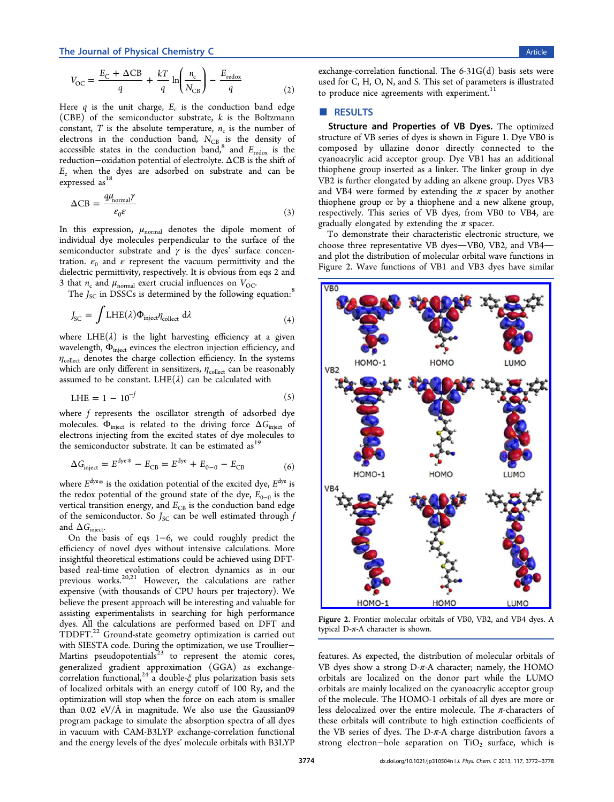<span id="page-2-0"></span>
$$
V_{\rm OC} = \frac{E_{\rm C} + \Delta C B}{q} + \frac{kT}{q} \ln \left( \frac{n_{\rm c}}{N_{\rm CB}} \right) - \frac{E_{\rm redox}}{q} \tag{2}
$$

Here  $q$  is the unit charge,  $E_c$  is the conduction band edge (CBE) of the semiconductor substrate,  $k$  is the Boltzmann constant, T is the absolute temperature,  $n_c$  is the number of electrons in the conduction band,  $N_{\text{CB}}$  is the density of accessible states in the conduction band,<sup>8</sup> and  $E_{\text{redox}}$  is the reduction−oxidation potential of electrolyte. ΔCB is the shift of  $E_c$  when the dyes are adsorbed on su[bs](#page-6-0)trate and can be expressed as<sup>18</sup>

$$
\Delta \text{CB} = \frac{q\mu_{\text{normal}}\gamma}{\varepsilon_0 \varepsilon} \tag{3}
$$

In this expression,  $\mu_{\text{normal}}$  denotes the dipole moment of individual dye molecules perpendicular to the surface of the semiconductor substrate and  $\gamma$  is the dyes' surface concentration.  $\varepsilon_0$  and  $\varepsilon$  represent the vacuum permittivity and the dielectric permittivity, respectively. It is obvious from eqs 2 and 3 that  $n_c$  and  $\mu_{\text{normal}}$  exert crucial influences on  $V_{\text{OC}}$ .

The  $J_{SC}$  in DSSCs is determined by the following equ[ati](#page-1-0)on:<sup>8</sup>

$$
J_{\rm SC} = \int LHE(\lambda)\Phi_{\rm inject}\eta_{\rm collect} \,d\lambda \tag{4}
$$

where  $LHE(\lambda)$  is the light harvesting efficiency at a given wavelength,  $\Phi_{\text{inject}}$  evinces the electron injection efficiency, and  $\eta_{\text{collect}}$  denotes the charge collection efficiency. In the systems which are only different in sensitizers,  $\eta_{\text{collect}}$  can be reasonably assumed to be constant. LHE( $\lambda$ ) can be calculated with

$$
LHE = 1 - 10^{-f} \tag{5}
$$

where f represents the oscillator strength of adsorbed dye molecules.  $\Phi_{\text{inject}}$  is related to the driving force  $\Delta G_{\text{inject}}$  of electrons injecting from the excited states of dye molecules to the semiconductor substrate. It can be estimated as<sup>19</sup>

$$
\Delta G_{\text{inject}} = E^{\text{dye}} + E_{\text{CB}} = E^{\text{dye}} + E_{0-0} - E_{\text{CB}}
$$
 (6)

where  $E^{\text{dye}}$  is the oxidation potential of the excited dye,  $E^{\text{dye}}$  is the redox potential of the ground state of the dye,  $E_{0-0}$  is the vertical transition energy, and  $E_{CB}$  is the conduction band edge of the semiconductor. So  $J_{SC}$  can be well estimated through  $f$ and  $\Delta G_{\text{inject}}$ .

On the basis of eqs 1−6, we could roughly predict the efficiency of novel dyes without intensive calculations. More insightful theoretical esti[ma](#page-1-0)tions could be achieved using DFTbased real-time evolution of electron dynamics as in our previous works.<sup>20,21</sup> However, the calculations are rather expensive (with thousands of CPU hours per trajectory). We believe the prese[nt ap](#page-6-0)proach will be interesting and valuable for assisting experimentalists in searching for high performance dyes. All the calculations are performed based on DFT and TDDFT.22 Ground-state geometry optimization is carried out with SIESTA code. During the optimization, we use TroullierMartins [ps](#page-6-0)eudopotentials $23$  to represent the atomic cores, generalized gradient approximation (GGA) as exchangecorrelation functional,<sup>24</sup> a [do](#page-6-0)uble- $\xi$  plus polarization basis sets of localized orbitals with an energy cutoff of 100 Ry, and the optimization will sto[p w](#page-6-0)hen the force on each atom is smaller than 0.02 eV/Å in magnitude. We also use the Gaussian09 program package to simulate the absorption spectra of all dyes in vacuum with CAM-B3LYP exchange-correlation functional and the energy levels of the dyes' molecule orbitals with B3LYP exchange-correlation functional. The  $6-31G(d)$  basis sets were used for C, H, O, N, and S. This set of parameters is illustrated to produce nice agreements with experiment.<sup>11</sup>

## ■ RESULTS

Structure and Properties of VB Dyes. The optimized structure of VB series of dyes is shown in Figure 1. Dye VB0 is composed by ullazine donor directly connected to the cyanoacrylic acid acceptor group. Dye VB1 has [a](#page-1-0)n additional thiophene group inserted as a linker. The linker group in dye VB2 is further elongated by adding an alkene group. Dyes VB3 and VB4 were formed by extending the  $\pi$  spacer by another thiophene group or by a thiophene and a new alkene group, respectively. This series of VB dyes, from VB0 to VB4, are gradually elongated by extending the  $\pi$  spacer.

To demonstrate their characteristic electronic structure, we choose three representative VB dyes-VB0, VB2, and VB4and plot the distribution of molecular orbital wave functions in Figure 2. Wave functions of VB1 and VB3 dyes have similar



Figure 2. [Frontier molecular orbitals of VB0, VB2, and VB4 dyes.](http://pubs.acs.org/action/showImage?doi=10.1021/jp310504n&iName=master.img-002.jpg&w=228&h=327) A typical  $D$ - $\pi$ -A character is shown.

features. As expected, the distribution of molecular orbitals of VB dyes show a strong  $D$ - $\pi$ -A character; namely, the HOMO orbitals are localized on the donor part while the LUMO orbitals are mainly localized on the cyanoacrylic acceptor group of the molecule. The HOMO-1 orbitals of all dyes are more or less delocalized over the entire molecule. The  $\pi$ -characters of these orbitals will contribute to high extinction coefficients of the VB series of dyes. The D- $\pi$ -A charge distribution favors a strong electron-hole separation on TiO<sub>2</sub> surface, which is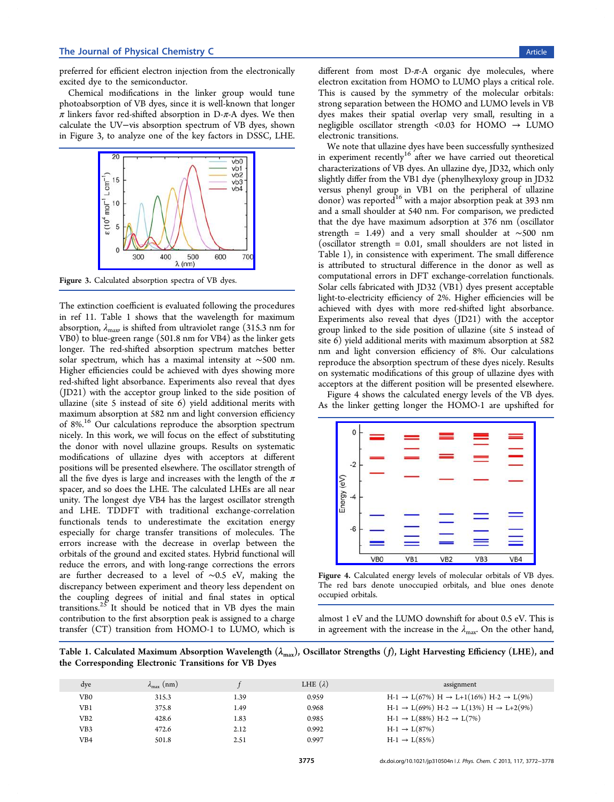preferred for efficient electron injection from the electronically excited dye to the semiconductor.

Chemical modifications in the linker group would tune photoabsorption of VB dyes, since it is well-known that longer  $\pi$  linkers favor red-shifted absorption in D- $\pi$ -A dyes. We then calculate the UV−vis absorption spectrum of VB dyes, shown in Figure 3, to analyze one of the key factors in DSSC, LHE.



Figure 3. C[alculated absorption spectra of VB dyes.](http://pubs.acs.org/action/showImage?doi=10.1021/jp310504n&iName=master.img-003.jpg&w=154&h=115)

The extinction coefficient is evaluated following the procedures in ref 11. Table 1 shows that the wavelength for maximum absorption,  $\lambda_{\text{max}}$  is shifted from ultraviolet range (315.3 nm for VB0) t[o b](#page-6-0)lue-green range (501.8 nm for VB4) as the linker gets longer. The red-shifted absorption spectrum matches better solar spectrum, which has a maximal intensity at ∼500 nm. Higher efficiencies could be achieved with dyes showing more red-shifted light absorbance. Experiments also reveal that dyes (JD21) with the acceptor group linked to the side position of ullazine (site 5 instead of site 6) yield additional merits with maximum absorption at 582 nm and light conversion efficiency of 8%.<sup>16</sup> Our calculations reproduce the absorption spectrum nicely. In this work, we will focus on the effect of substituting the d[ono](#page-6-0)r with novel ullazine groups. Results on systematic modifications of ullazine dyes with acceptors at different positions will be presented elsewhere. The oscillator strength of all the five dyes is large and increases with the length of the  $\pi$ spacer, and so does the LHE. The calculated LHEs are all near unity. The longest dye VB4 has the largest oscillator strength and LHE. TDDFT with traditional exchange-correlation functionals tends to underestimate the excitation energy especially for charge transfer transitions of molecules. The errors increase with the decrease in overlap between the orbitals of the ground and excited states. Hybrid functional will reduce the errors, and with long-range corrections the errors are further decreased to a level of ∼0.5 eV, making the discrepancy between experiment and theory less dependent on the coupling degrees of initial and final states in optical transitions. $25$  It should be noticed that in VB dyes the main contribution to the first absorption peak is assigned to a charge transfer ([CT](#page-6-0)) transition from HOMO-1 to LUMO, which is

different from most  $D-\pi$ -A organic dye molecules, where electron excitation from HOMO to LUMO plays a critical role. This is caused by the symmetry of the molecular orbitals: strong separation between the HOMO and LUMO levels in VB dyes makes their spatial overlap very small, resulting in a negligible oscillator strength <0.03 for HOMO  $\rightarrow$  LUMO electronic transitions.

We note that ullazine dyes have been successfully synthesized in experiment recently<sup>16</sup> after we have carried out theoretical characterizations of VB dyes. An ullazine dye, JD32, which only slightly differ from the [VB](#page-6-0)1 dye (phenylhexyloxy group in JD32 versus phenyl group in VB1 on the peripheral of ullazine donor) was reported<sup>16</sup> with a major absorption peak at 393 nm and a small shoulder at 540 nm. For comparison, we predicted that the dye have [max](#page-6-0)imum adsorption at 376 nm (oscillator strength = 1.49) and a very small shoulder at ∼500 nm (oscillator strength = 0.01, small shoulders are not listed in Table 1), in consistence with experiment. The small difference is attributed to structural difference in the donor as well as computational errors in DFT exchange-correlation functionals. Solar cells fabricated with JD32 (VB1) dyes present acceptable light-to-electricity efficiency of 2%. Higher efficiencies will be achieved with dyes with more red-shifted light absorbance. Experiments also reveal that dyes (JD21) with the acceptor group linked to the side position of ullazine (site 5 instead of site 6) yield additional merits with maximum absorption at 582 nm and light conversion efficiency of 8%. Our calculations reproduce the absorption spectrum of these dyes nicely. Results on systematic modifications of this group of ullazine dyes with acceptors at the different position will be presented elsewhere.

Figure 4 shows the calculated energy levels of the VB dyes. As the linker getting longer the HOMO-1 are upshifted for



Figure 4. [Calculated energy levels of molecular orbitals of VB](http://pubs.acs.org/action/showImage?doi=10.1021/jp310504n&iName=master.img-004.jpg&w=197&h=141) dyes. The red bars denote unoccupied orbitals, and blue ones denote occupied orbitals.

almost 1 eV and the LUMO downshift for about 0.5 eV. This is in agreement with the increase in the  $\lambda_{\text{max}}$ . On the other hand,

Table 1. Calculated Maximum Absorption Wavelength  $(\lambda_{\max})$ , Oscillator Strengths (f), Light Harvesting Efficiency (LHE), and the Corresponding Electronic Transitions for VB Dyes

| dye             | $\lambda_{\text{max}}$ (nm) |      | LHE $(\lambda)$ | assignment                                                               |
|-----------------|-----------------------------|------|-----------------|--------------------------------------------------------------------------|
| VB0             | 315.3                       | 1.39 | 0.959           | $H-1 \rightarrow L(67\%) H \rightarrow L+1(16\%) H-2 \rightarrow L(9\%)$ |
| VB1             | 375.8                       | 1.49 | 0.968           | $H-1 \rightarrow L(69\%) H-2 \rightarrow L(13\%) H \rightarrow L+2(9\%)$ |
| VB2             | 428.6                       | 1.83 | 0.985           | $H-1 \rightarrow L(88%) H-2 \rightarrow L(7%)$                           |
| VB <sub>3</sub> | 472.6                       | 2.12 | 0.992           | $H-1 \to L(87%)$                                                         |
| VB4             | 501.8                       | 2.51 | 0.997           | $H-1 \rightarrow L(85%)$                                                 |
|                 |                             |      |                 |                                                                          |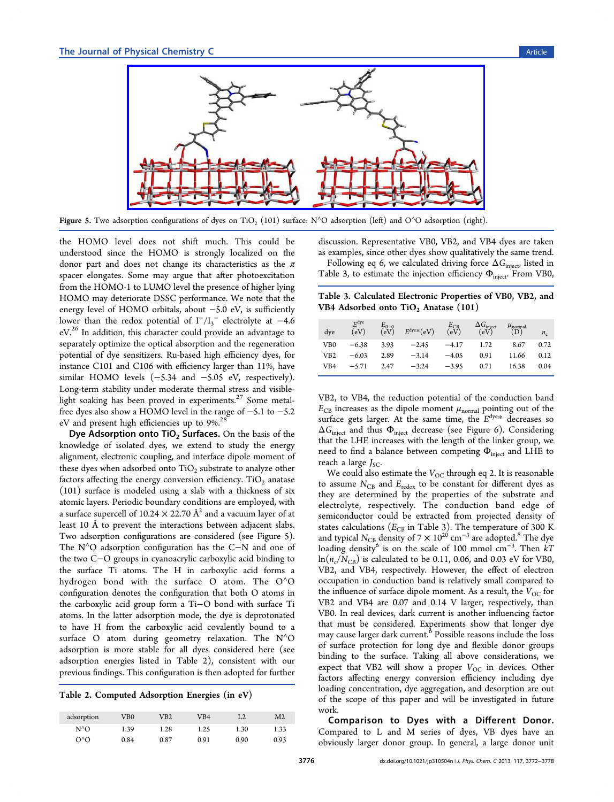

Figure 5. Two adsorption configurations of dyes on TiO<sub>2</sub> (101) surface: N^O adsorption (left) and O^O adsorption (right).

the HOMO level does not shift much. This could be understood since the HOMO is strongly localized on the donor part and does not change its characteristics as the  $\pi$ spacer elongates. Some may argue that after photoexcitation from the HOMO-1 to LUMO level the presence of higher lying HOMO may deteriorate DSSC performance. We note that the energy level of HOMO orbitals, about −5.0 eV, is sufficiently lower than the redox potential of  $I^-/I_3^-$  electrolyte at -4.6  $eV<sup>26</sup>$  In addition, this character could provide an advantage to separately optimize the optical absorption and the regeneration po[ten](#page-6-0)tial of dye sensitizers. Ru-based high efficiency dyes, for instance C101 and C106 with efficiency larger than 11%, have similar HOMO levels (−5.34 and −5.05 eV, respectively). Long-term stability under moderate thermal stress and visiblelight soaking has been proved in experiments. $27$  Some metalfree dyes also show a HOMO level in the range of −5.1 to −5.2 eV and present high efficiencies up to 9%.<sup>28</sup>

Dye Adsorption onto  $TiO<sub>2</sub>$  Surfaces. On the basis of the knowledge of isolated dyes, we extend t[o](#page-6-0) study the energy alignment, electronic coupling, and interface dipole moment of these dyes when adsorbed onto  $TiO<sub>2</sub>$  substrate to analyze other factors affecting the energy conversion efficiency.  $TiO<sub>2</sub>$  anatase (101) surface is modeled using a slab with a thickness of six atomic layers. Periodic boundary conditions are employed, with a surface supercell of  $10.24 \times 22.70$  Å<sup>2</sup> and a vacuum layer of at least 10 Å to prevent the interactions between adjacent slabs. Two adsorption configurations are considered (see Figure 5). The N<sup>^</sup>O adsorption configuration has the C−N and one of the two C−O groups in cyanoacrylic carboxylic acid binding to the surface Ti atoms. The H in carboxylic acid forms a hydrogen bond with the surface O atom. The O<sup>∧</sup>O configuration denotes the configuration that both O atoms in the carboxylic acid group form a Ti−O bond with surface Ti atoms. In the latter adsorption mode, the dye is deprotonated to have H from the carboxylic acid covalently bound to a surface O atom during geometry relaxation. The  $N^{\wedge}O$ adsorption is more stable for all dyes considered here (see adsorption energies listed in Table 2), consistent with our previous findings. This configuration is then adopted for further

Table 2. Computed Adsorption Energies (in eV)

| adsorption   | VB0  | VB2  | VB4  | L2   | M2   |
|--------------|------|------|------|------|------|
| $N^{\wedge}$ | 1.39 | 1.28 | 1.25 | 1.30 | 1.33 |
| റ^റ          | 0.84 | 0.87 | 0.91 | 0.90 | 0.93 |

discussion. Representative VB0, VB2, and VB4 dyes are taken as examples, since other dyes show qualitatively the same trend.

Following eq 6, we calculated driving force  $\Delta G_{\text{inject}}$  listed in Table 3, to estimate the injection efficiency  $\Phi_{\text{inject}}$ . From VB0,

Table 3. Calcul[at](#page-2-0)ed Electronic Properties of VB0, VB2, and VB4 Adsorbed onto  $TiO<sub>2</sub>$  Anatase (101)

| dve | $E^{\rm dye}$<br>(eV) | $E_{0-0}$<br>(eV) | $E^{\text{dye}}*(eV)$ | $E_{CB}$<br>(eV) | $\frac{\Delta G_{\text{inject}}}{\text{(eV)}}$ | $\mu_{\text{normal}}$<br>(D) | $n_c$ |
|-----|-----------------------|-------------------|-----------------------|------------------|------------------------------------------------|------------------------------|-------|
| VB0 | $-6.38$               | 3.93              | $-2.45$               | -4.17            | 1.72                                           | 8.67                         | 0.72  |
| VB2 | $-6.03$               | 2.89              | $-3.14$               | $-4.05$          | 0.91                                           | 11.66                        | 0.12  |
| VB4 | $-5.71$               | 2.47              | $-3.24$               | $-3.95$          | 0.71                                           | 16.38                        | 0.04  |

VB2, to VB4, the reduction potential of the conduction band  $E_{CB}$  increases as the dipole moment  $\mu_{\text{normal}}$  pointing out of the surface gets larger. At the same time, the  $E<sup>dye</sup>$ \* decreases so  $\Delta G_{\text{inject}}$  and thus  $\Phi_{\text{inject}}$  decrease (see Figure 6). Considering that the LHE increases with the length of the linker group, we need to find a balance between competing  $\Phi_{\text{inject}}$  $\Phi_{\text{inject}}$  $\Phi_{\text{inject}}$  and LHE to reach a large  $J_{SC}$ .

We could also estimate the  $V_{OC}$  through eq 2. It is reasonable to assume  $N_{\rm CB}$  and  $E_{\rm redox}$  to be constant for different dyes as they are determined by the properties of t[he](#page-1-0) substrate and electrolyte, respectively. The conduction band edge of semiconductor could be extracted from projected density of states calculations ( $E_{\text{CB}}$  in Table 3). The temperature of 300 K and typical N<sub>CB</sub> density of 7  $\times$  10<sup>20</sup> cm<sup>-3</sup> are adopted.<sup>8</sup> The dye loading density<sup>6</sup> is on the scale of 100 mmol cm<sup>-3</sup>. Then  $kT$  $\ln(n_c/N_{\rm CB})$  is calculated to be 0.11, 0.06, and 0.03 e[V](#page-6-0) for VB0, VB2, and VB4[,](#page-6-0) respectively. However, the effect of electron occupation in conduction band is relatively small compared to the influence of surface dipole moment. As a result, the  $V_{OC}$  for VB2 and VB4 are 0.07 and 0.14 V larger, respectively, than VB0. In real devices, dark current is another influencing factor that must be considered. Experiments show that longer dye may cause larger dark current.<sup>6</sup> Possible reasons include the loss of surface protection for long dye and flexible donor groups binding to the surface. Tak[in](#page-6-0)g all above considerations, we expect that VB2 will show a proper  $V_{OC}$  in devices. Other factors affecting energy conversion efficiency including dye loading concentration, dye aggregation, and desorption are out of the scope of this paper and will be investigated in future work.

Comparison to Dyes with a Different Donor. Compared to L and M series of dyes, VB dyes have an obviously larger donor group. In general, a large donor unit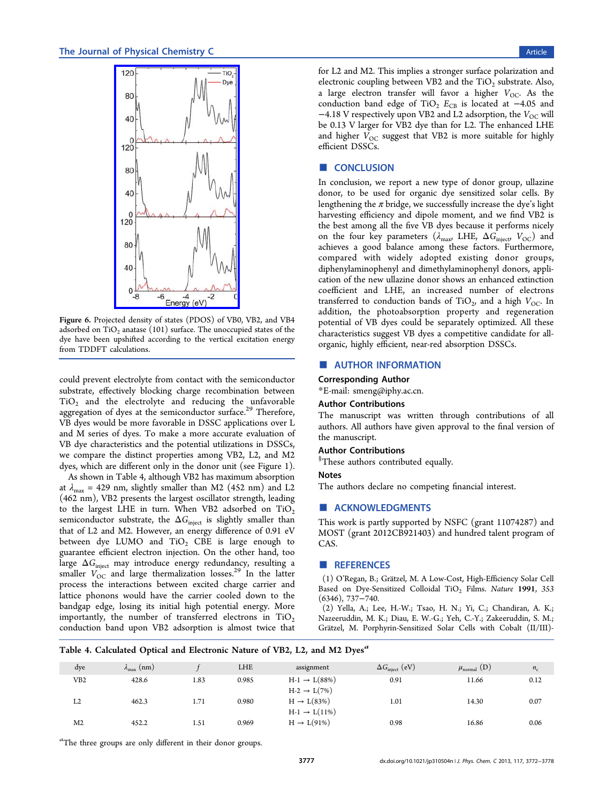<span id="page-5-0"></span>

Figure 6. Projec[ted density of states \(PDOS\) of VB](http://pubs.acs.org/action/showImage?doi=10.1021/jp310504n&iName=master.img-006.jpg&w=122&h=243)0, VB2, and VB4 adsorbed on  $TiO<sub>2</sub>$  anatase (101) surface. The unoccupied states of the dye have been upshifted according to the vertical excitation energy from TDDFT calculations.

could prevent electrolyte from contact with the semiconductor substrate, effectively blocking charge recombination between TiO2 and the electrolyte and reducing the unfavorable aggregation of dyes at the semiconductor surface.<sup>29</sup> Therefore, VB dyes would be more favorable in DSSC applications over L and M series of dyes. To make a more accurate [ev](#page-6-0)aluation of VB dye characteristics and the potential utilizations in DSSCs, we compare the distinct properties among VB2, L2, and M2 dyes, which are different only in the donor unit (see Figure 1).

As shown in Table 4, although VB2 has maximum absorption at  $\lambda_{\text{max}}$  = 429 nm, slightly smaller than M2 (452 nm) and [L](#page-1-0)2 (462 nm), VB2 presents the largest oscillator strength, leading to the largest LHE in turn. When VB2 adsorbed on  $TiO<sub>2</sub>$ semiconductor substrate, the  $\Delta G_{\text{inject}}$  is slightly smaller than that of L2 and M2. However, an energy difference of 0.91 eV between dye LUMO and  $TiO<sub>2</sub>$  CBE is large enough to guarantee efficient electron injection. On the other hand, too large  $\Delta G_{\text{inject}}$  may introduce energy redundancy, resulting a smaller  $V_{\text{OC}}$  and large thermalization losses.<sup>29</sup> In the latter process the interactions between excited charge carrier and lattice phonons would have the carrier cool[ed](#page-6-0) down to the bandgap edge, losing its initial high potential energy. More importantly, the number of transferred electrons in  $TiO<sub>2</sub>$ conduction band upon VB2 adsorption is almost twice that for L2 and M2. This implies a stronger surface polarization and electronic coupling between VB2 and the  $TiO<sub>2</sub>$  substrate. Also, a large electron transfer will favor a higher  $V_{OC}$ . As the conduction band edge of TiO<sub>2</sub>  $E_{CB}$  is located at  $-4.05$  and  $-4.18$  V respectively upon VB2 and L2 adsorption, the  $V_{OC}$  will be 0.13 V larger for VB2 dye than for L2. The enhanced LHE and higher  $V_{\text{OC}}$  suggest that VB2 is more suitable for highly efficient DSSCs.

## ■ **CONCLUSION**

In conclusion, we report a new type of donor group, ullazine donor, to be used for organic dye sensitized solar cells. By lengthening the  $\pi$  bridge, we successfully increase the dye's light harvesting efficiency and dipole moment, and we find VB2 is the best among all the five VB dyes because it performs nicely on the four key parameters ( $\lambda_{\text{max}}$  LHE,  $\Delta G_{\text{inject}}$ ,  $V_{\text{OC}}$ ) and achieves a good balance among these factors. Furthermore, compared with widely adopted existing donor groups, diphenylaminophenyl and dimethylaminophenyl donors, application of the new ullazine donor shows an enhanced extinction coefficient and LHE, an increased number of electrons transferred to conduction bands of TiO<sub>2</sub>, and a high  $V_{\text{OC}}$ . In addition, the photoabsorption property and regeneration potential of VB dyes could be separately optimized. All these characteristics suggest VB dyes a competitive candidate for allorganic, highly efficient, near-red absorption DSSCs.

## ■ AUTHOR INFORMATION

#### Corresponding Author

\*E-mail: smeng@iphy.ac.cn.

## Author Contributions

The ma[nuscript was writt](mailto:smeng@iphy.ac.cn)en through contributions of all authors. All authors have given approval to the final version of the manuscript.

## Author Contributions

§ These authors contributed equally.

#### Notes

The authors declare no competing financial interest.

#### ■ ACKNOWLEDGMENTS

This work is partly supported by NSFC (grant 11074287) and MOST (grant 2012CB921403) and hundred talent program of CAS.

#### ■ REFERENCES

(1) O'Regan, B.; Gratzel, M. A Low-Cost, High-Efficiency Solar Cell ̈ Based on Dye-Sensitized Colloidal TiO<sub>2</sub> Films. Nature 1991, 353 (6346), 737−740.

(2) Yella, A.; Lee, H.-W.; Tsao, H. N.; Yi, C.; Chandiran, A. K.; Nazeeruddin, M. K.; Diau, E. W.-G.; Yeh, C.-Y.; Zakeeruddin, S. M.; Grätzel, M. Porphyrin-Sensitized Solar Cells with Cobalt (II/III)-

#### Table 4. Calculated Optical and Electronic Nature of VB2, L2, and M2 Dyes<sup>a</sup>

| dye            | $\lambda_{\text{max}}$ (nm) |      | LHE   | assignment                                         | $\Delta G_{\text{inject}}$ (eV) | $\mu_{\text{normal}}$ (D) | $n_c$ |
|----------------|-----------------------------|------|-------|----------------------------------------------------|---------------------------------|---------------------------|-------|
| VB2            | 428.6                       | 1.83 | 0.985 | $H-1 \to L(88%)$                                   | 0.91                            | 11.66                     | 0.12  |
| L2             | 462.3                       | 1.71 | 0.980 | $H-2 \rightarrow L(7\%)$<br>$H \rightarrow L(83%)$ | 1.01                            | 14.30                     | 0.07  |
| M <sub>2</sub> | 452.2                       | 1.51 | 0.969 | $H-1 \to L(11\%)$<br>$H \rightarrow L(91\%)$       | 0.98                            | 16.86                     | 0.06  |

<sup>a</sup>The three groups are only different in their donor groups.